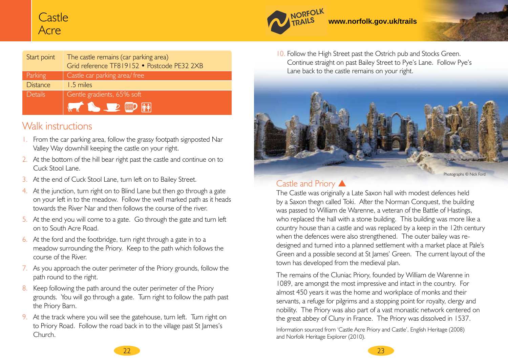# Castle Acre

| Start point     | The castle remains (car parking area)<br>Grid reference TF819152 · Postcode PE32 2XB |
|-----------------|--------------------------------------------------------------------------------------|
| Parking         | Castle car parking area/ free                                                        |
| <b>Distance</b> | 1.5 miles                                                                            |
| <b>Details</b>  | Gentle gradients, 65% soft                                                           |
|                 | <b>THE REAL PROPERTY</b>                                                             |

### Walk instructions

- 1. From the car parking area, follow the grassy footpath signposted Nar Valley Way downhill keeping the castle on your right.
- 2. At the bottom of the hill bear right past the castle and continue on to Cuck Stool Lane.
- 3. At the end of Cuck Stool Lane, turn left on to Bailey Street.
- 4. At the junction, turn right on to Blind Lane but then go through a gate on your left in to the meadow. Follow the well marked path as it heads towards the River Nar and then follows the course of the river.
- 5. At the end you will come to a gate. Go through the gate and turn left on to South Acre Road.
- 6. At the ford and the footbridge, turn right through a gate in to a meadow surrounding the Priory. Keep to the path which follows the course of the River.
- 7. As you approach the outer perimeter of the Priory grounds, follow the path round to the right.
- 8. Keep following the path around the outer perimeter of the Priory grounds. You will go through a gate. Turn right to follow the path past the Priory Barn.
- 9. At the track where you will see the gatehouse, turn left. Turn right on to Priory Road. Follow the road back in to the village past St James's Church.



10. Follow the High Street past the Ostrich pub and Stocks Green. Continue straight on past Bailey Street to Pye's Lane. Follow Pye's Lane back to the castle remains on your right.

**www.norfolk.gov.uk/trails** 



### Castle and Priory **A**

NORFOLK

The Castle was originally a Late Saxon hall with modest defences held by a Saxon thegn called Toki. After the Norman Conquest, the building was passed to William de Warenne, a veteran of the Battle of Hastings, who replaced the hall with a stone building. This building was more like a country house than a castle and was replaced by a keep in the 12th century when the defences were also strengthened. The outer bailey was redesigned and turned into a planned settlement with a market place at Pale's Green and a possible second at St James' Green. The current layout of the town has developed from the medieval plan.

The remains of the Cluniac Priory, founded by William de Warenne in 1089, are amongst the most impressive and intact in the country. For almost 450 years it was the home and workplace of monks and their servants, a refuge for pilgrims and a stopping point for royalty, clergy and nobility. The Priory was also part of a vast monastic network centered on the great abbey of Cluny in France. The Priory was dissolved in 1537.

Information sourced from 'Castle Acre Priory and Castle', English Heritage (2008) and Norfolk Heritage Explorer (2010).